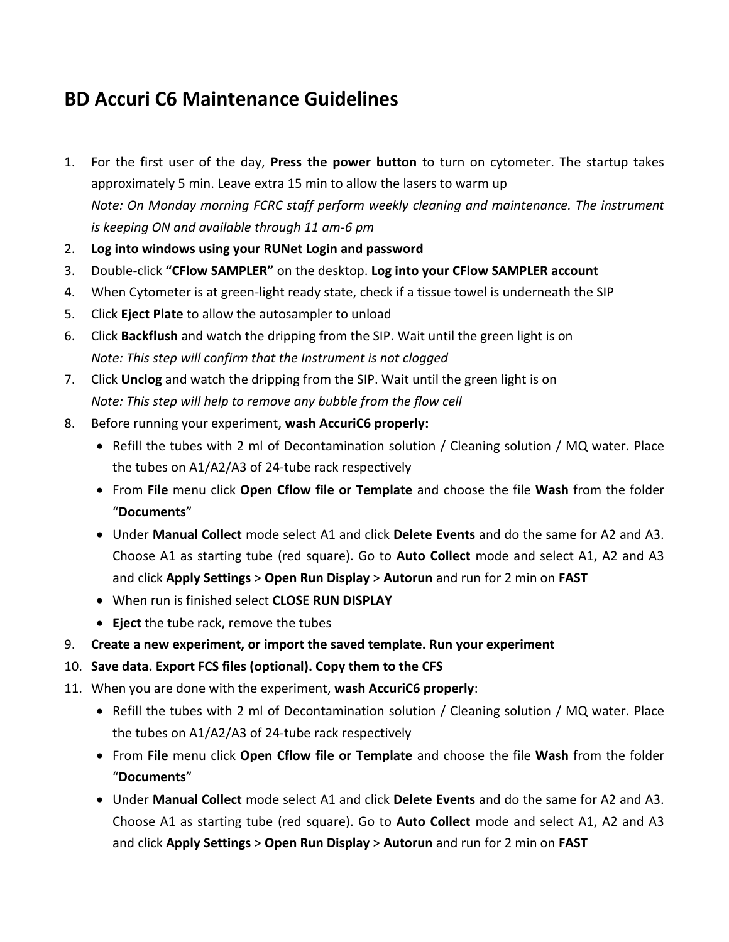## **BD Accuri C6 Maintenance Guidelines**

- 1. For the first user of the day, **Press the power button** to turn on cytometer. The startup takes approximately 5 min. Leave extra 15 min to allow the lasers to warm up *Note: On Monday morning FCRC staff perform weekly cleaning and maintenance. The instrument is keeping ON and available through 11 am-6 pm*
- 2. **Log into windows using your RUNet Login and password**
- 3. Double-click **"CFlow SAMPLER"** on the desktop. **Log into your CFlow SAMPLER account**
- 4. When Cytometer is at green-light ready state, check if a tissue towel is underneath the SIP
- 5. Click **Eject Plate** to allow the autosampler to unload
- 6. Click **Backflush** and watch the dripping from the SIP. Wait until the green light is on *Note: This step will confirm that the Instrument is not clogged*
- 7. Click **Unclog** and watch the dripping from the SIP. Wait until the green light is on *Note: This step will help to remove any bubble from the flow cell*
- 8. Before running your experiment, **wash AccuriC6 properly:**
	- Refill the tubes with 2 ml of Decontamination solution / Cleaning solution / MQ water. Place the tubes on A1/A2/A3 of 24-tube rack respectively
	- From **File** menu click **Open Cflow file or Template** and choose the file **Wash** from the folder "**Documents**"
	- Under **Manual Collect** mode select A1 and click **Delete Events** and do the same for A2 and A3. Choose A1 as starting tube (red square). Go to **Auto Collect** mode and select A1, A2 and A3 and click **Apply Settings** > **Open Run Display** > **Autorun** and run for 2 min on **FAST**
	- When run is finished select **CLOSE RUN DISPLAY**
	- **Eject** the tube rack, remove the tubes
- 9. **Create a new experiment, or import the saved template. Run your experiment**
- 10. **Save data. Export FCS files (optional). Copy them to the CFS**
- 11. When you are done with the experiment, **wash AccuriC6 properly**:
	- Refill the tubes with 2 ml of Decontamination solution / Cleaning solution / MQ water. Place the tubes on A1/A2/A3 of 24-tube rack respectively
	- From **File** menu click **Open Cflow file or Template** and choose the file **Wash** from the folder "**Documents**"
	- Under **Manual Collect** mode select A1 and click **Delete Events** and do the same for A2 and A3. Choose A1 as starting tube (red square). Go to **Auto Collect** mode and select A1, A2 and A3 and click **Apply Settings** > **Open Run Display** > **Autorun** and run for 2 min on **FAST**